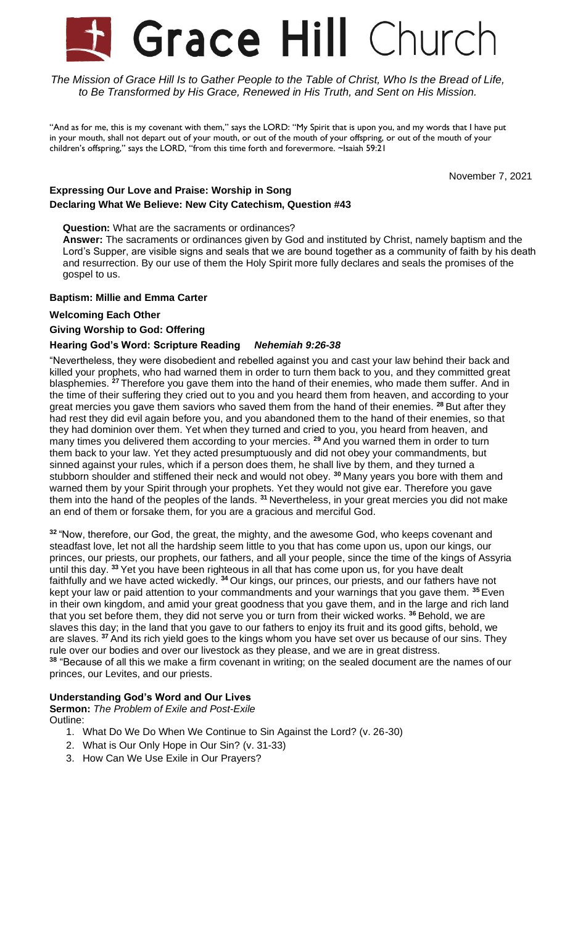# Grace Hill Church

The Mission of Grace Hill Is to Gather People to the Table of Christ, Who Is the Bread of Life, *to Be Transformed by His Grace, Renewed in His Truth, and Sent on His Mission.*

"And as for me, this is my covenant with them," says the LORD: "My Spirit that is upon you, and my words that I have put in your mouth, shall not depart out of your mouth, or out of the mouth of your offspring, or out of the mouth of your children's offspring," says the LORD, "from this time forth and forevermore. ~Isaiah 59:21

November 7, 2021

# **Expressing Our Love and Praise: Worship in Song Declaring What We Believe: New City Catechism, Question #43**

**Question:** What are the sacraments or ordinances?

**Answer:** The sacraments or ordinances given by God and instituted by Christ, namely baptism and the Lord's Supper, are visible signs and seals that we are bound together as a community of faith by his death and resurrection. By our use of them the Holy Spirit more fully declares and seals the promises of the gospel to us.

# **Baptism: Millie and Emma Carter**

### **Welcoming Each Other**

# **Giving Worship to God: Offering**

### **Hearing God's Word: Scripture Reading** *Nehemiah 9:26-38*

"Nevertheless, they were disobedient and rebelled against you and cast your law behind their back and killed your prophets, who had warned them in order to turn them back to you, and they committed great blasphemies. **<sup>27</sup>** Therefore you gave them into the hand of their enemies, who made them suffer. And in the time of their suffering they cried out to you and you heard them from heaven, and according to your great mercies you gave them saviors who saved them from the hand of their enemies. **<sup>28</sup>** But after they had rest they did evil again before you, and you abandoned them to the hand of their enemies, so that they had dominion over them. Yet when they turned and cried to you, you heard from heaven, and many times you delivered them according to your mercies. **<sup>29</sup>** And you warned them in order to turn them back to your law. Yet they acted presumptuously and did not obey your commandments, but sinned against your rules, which if a person does them, he shall live by them, and they turned a stubborn shoulder and stiffened their neck and would not obey. **<sup>30</sup>** Many years you bore with them and warned them by your Spirit through your prophets. Yet they would not give ear. Therefore you gave them into the hand of the peoples of the lands. **<sup>31</sup>** Nevertheless, in your great mercies you did not make an end of them or forsake them, for you are a gracious and merciful God.

**<sup>32</sup>** "Now, therefore, our God, the great, the mighty, and the awesome God, who keeps covenant and steadfast love, let not all the hardship seem little to you that has come upon us, upon our kings, our princes, our priests, our prophets, our fathers, and all your people, since the time of the kings of Assyria until this day. **<sup>33</sup>** Yet you have been righteous in all that has come upon us, for you have dealt faithfully and we have acted wickedly. **<sup>34</sup>** Our kings, our princes, our priests, and our fathers have not kept your law or paid attention to your commandments and your warnings that you gave them. **<sup>35</sup>** Even in their own kingdom, and amid your great goodness that you gave them, and in the large and rich land that you set before them, they did not serve you or turn from their wicked works. **<sup>36</sup>** Behold, we are slaves this day; in the land that you gave to our fathers to enjoy its fruit and its good gifts, behold, we are slaves. **<sup>37</sup>** And its rich yield goes to the kings whom you have set over us because of our sins. They rule over our bodies and over our livestock as they please, and we are in great distress. **<sup>38</sup>** "Because of all this we make a firm covenant in writing; on the sealed document are the names of our princes, our Levites, and our priests.

# **Understanding God's Word and Our Lives**

**Sermon:** *The Problem of Exile and Post-Exile* Outline:

- 1. What Do We Do When We Continue to Sin Against the Lord? (v. 26-30)
- 2. What is Our Only Hope in Our Sin? (v. 31-33)
- 3. How Can We Use Exile in Our Prayers?